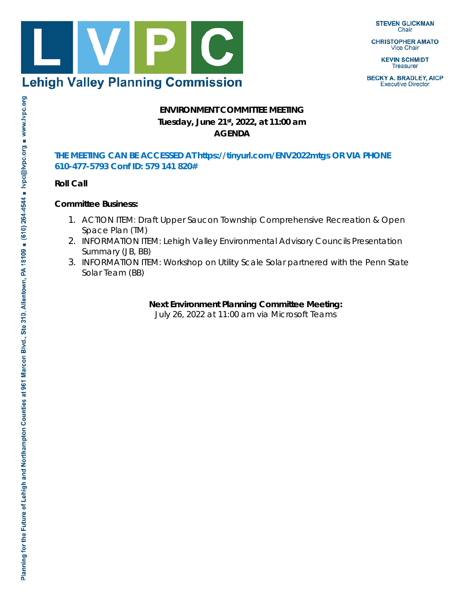

**STEVEN GLICKMAN** Chair

**CHRISTOPHER AMATO Vice Chair** 

> **KEVIN SCHMIDT Treasurer**

**BECKY A. BRADLEY, AICP Executive Director** 

# **ENVIRONMENT COMMITTEE MEETING Tuesday, June 21st, 2022, at 11:00 am AGENDA**

#### **THE MEETING CAN BE ACCESSED AT https://tinyurl.com/ENV2022mtgs OR VIA PHONE 610-477-5793 Conf ID: 579 141 820#**

**Roll Call**

## **Committee Business:**

- 1. *ACTION ITEM*: Draft Upper Saucon Township Comprehensive Recreation & Open Space Plan (TM)
- 2. *INFORMATION ITEM:* Lehigh Valley Environmental Advisory Councils Presentation Summary (JB, BB)
- 3. *INFORMATION ITEM:* Workshop on Utility Scale Solar partnered with the Penn State Solar Team (BB)

**Next Environment Planning Committee Meeting:**

July 26, 2022 at 11:00 am via Microsoft Teams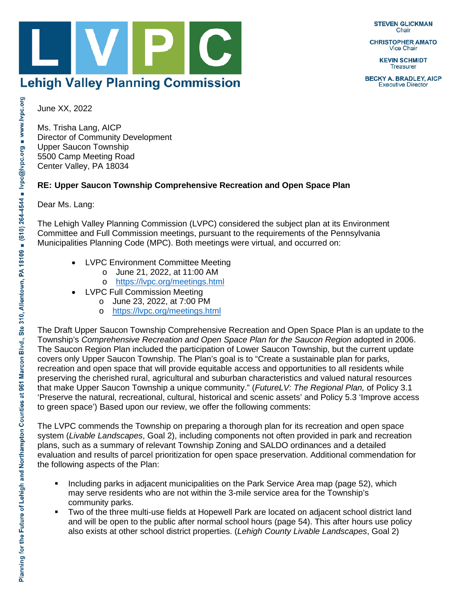**STEVEN GLICKMAN** Chair

**CHRISTOPHER AMATO Vice Chair** 

> **KEVIN SCHMIDT Treasurer**

**BECKY A. BRADLEY, AICP Executive Director** 

**Lehigh Valley Planning Commission** 

June XX, 2022

Ms. Trisha Lang, AICP Director of Community Development Upper Saucon Township 5500 Camp Meeting Road Center Valley, PA 18034

## **RE: Upper Saucon Township Comprehensive Recreation and Open Space Plan**

Dear Ms. Lang:

The Lehigh Valley Planning Commission (LVPC) considered the subject plan at its Environment Committee and Full Commission meetings, pursuant to the requirements of the Pennsylvania Municipalities Planning Code (MPC). Both meetings were virtual, and occurred on:

- LVPC Environment Committee Meeting
	- o June 21, 2022, at 11:00 AM
	- o <https://lvpc.org/meetings.html>
- **LVPC Full Commission Meeting** 
	- o June 23, 2022, at 7:00 PM
	- o <https://lvpc.org/meetings.html>

The Draft Upper Saucon Township Comprehensive Recreation and Open Space Plan is an update to the Township's *Comprehensive Recreation and Open Space Plan for the Saucon Region* adopted in 2006. The Saucon Region Plan included the participation of Lower Saucon Township, but the current update covers only Upper Saucon Township. The Plan's goal is to "Create a sustainable plan for parks, recreation and open space that will provide equitable access and opportunities to all residents while preserving the cherished rural, agricultural and suburban characteristics and valued natural resources that make Upper Saucon Township a unique community." (*FutureLV: The Regional Plan,* of Policy 3.1 'Preserve the natural, recreational, cultural, historical and scenic assets' and Policy 5.3 'Improve access to green space') Based upon our review, we offer the following comments:

The LVPC commends the Township on preparing a thorough plan for its recreation and open space system (*Livable Landscapes*, Goal 2), including components not often provided in park and recreation plans, such as a summary of relevant Township Zoning and SALDO ordinances and a detailed evaluation and results of parcel prioritization for open space preservation. Additional commendation for the following aspects of the Plan:

- **Including parks in adjacent municipalities on the Park Service Area map (page 52), which** may serve residents who are not within the 3-mile service area for the Township's community parks.
- Two of the three multi-use fields at Hopewell Park are located on adjacent school district land and will be open to the public after normal school hours (page 54). This after hours use policy also exists at other school district properties. (*Lehigh County Livable Landscapes*, Goal 2)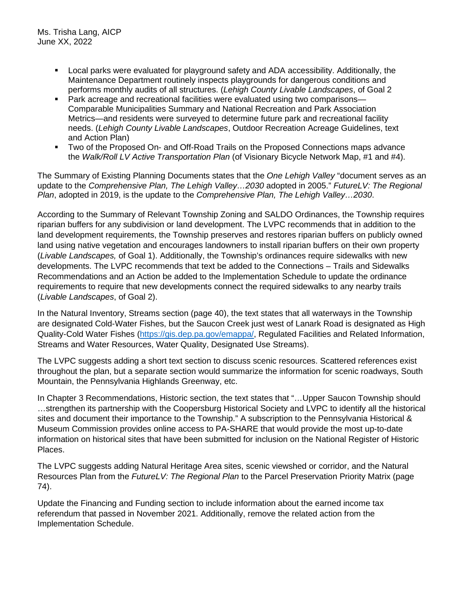- Local parks were evaluated for playground safety and ADA accessibility. Additionally, the Maintenance Department routinely inspects playgrounds for dangerous conditions and performs monthly audits of all structures. (*Lehigh County Livable Landscapes*, of Goal 2
- Park acreage and recreational facilities were evaluated using two comparisons— Comparable Municipalities Summary and National Recreation and Park Association Metrics—and residents were surveyed to determine future park and recreational facility needs. (*Lehigh County Livable Landscapes*, Outdoor Recreation Acreage Guidelines, text and Action Plan)
- Two of the Proposed On- and Off-Road Trails on the Proposed Connections maps advance the *Walk/Roll LV Active Transportation Plan* (of Visionary Bicycle Network Map, #1 and #4).

The Summary of Existing Planning Documents states that the *One Lehigh Valley* "document serves as an update to the *Comprehensive Plan, The Lehigh Valley…2030* adopted in 2005." *FutureLV: The Regional Plan*, adopted in 2019, is the update to the *Comprehensive Plan, The Lehigh Valley…2030*.

According to the Summary of Relevant Township Zoning and SALDO Ordinances, the Township requires riparian buffers for any subdivision or land development. The LVPC recommends that in addition to the land development requirements, the Township preserves and restores riparian buffers on publicly owned land using native vegetation and encourages landowners to install riparian buffers on their own property (*Livable Landscapes,* of Goal 1). Additionally, the Township's ordinances require sidewalks with new developments. The LVPC recommends that text be added to the Connections – Trails and Sidewalks Recommendations and an Action be added to the Implementation Schedule to update the ordinance requirements to require that new developments connect the required sidewalks to any nearby trails (*Livable Landscapes*, of Goal 2).

In the Natural Inventory, Streams section (page 40), the text states that all waterways in the Township are designated Cold-Water Fishes, but the Saucon Creek just west of Lanark Road is designated as High Quality-Cold Water Fishes [\(https://gis.dep.pa.gov/emappa/,](https://gis.dep.pa.gov/emappa/) Regulated Facilities and Related Information, Streams and Water Resources, Water Quality, Designated Use Streams).

The LVPC suggests adding a short text section to discuss scenic resources. Scattered references exist throughout the plan, but a separate section would summarize the information for scenic roadways, South Mountain, the Pennsylvania Highlands Greenway, etc.

In Chapter 3 Recommendations, Historic section, the text states that "…Upper Saucon Township should …strengthen its partnership with the Coopersburg Historical Society and LVPC to identify all the historical sites and document their importance to the Township." A subscription to the Pennsylvania Historical & Museum Commission provides online access to PA-SHARE that would provide the most up-to-date information on historical sites that have been submitted for inclusion on the National Register of Historic Places.

The LVPC suggests adding Natural Heritage Area sites, scenic viewshed or corridor, and the Natural Resources Plan from the *FutureLV: The Regional Plan* to the Parcel Preservation Priority Matrix (page 74).

Update the Financing and Funding section to include information about the earned income tax referendum that passed in November 2021. Additionally, remove the related action from the Implementation Schedule.